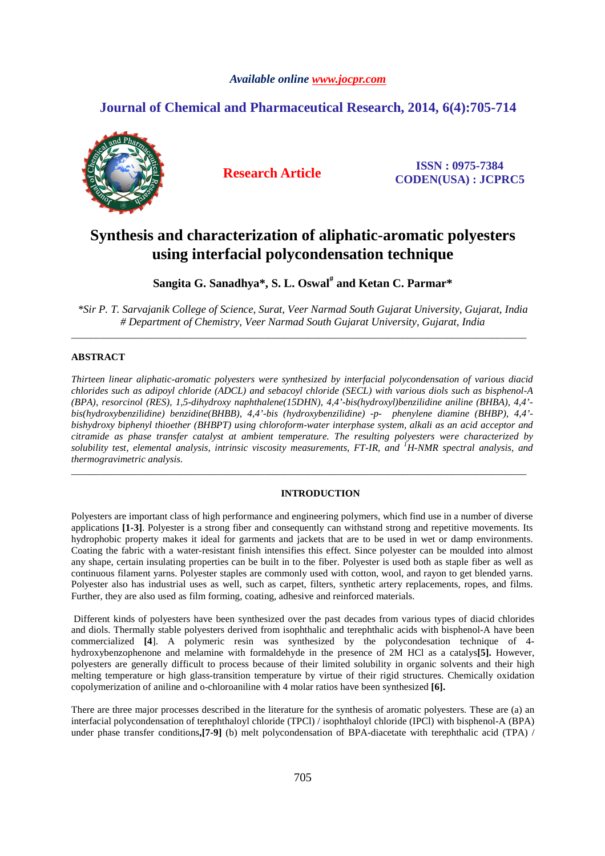# *Available online www.jocpr.com*

# **Journal of Chemical and Pharmaceutical Research, 2014, 6(4):705-714**



**Research Article ISSN : 0975-7384 CODEN(USA) : JCPRC5**

# **Synthesis and characterization of aliphatic-aromatic polyesters using interfacial polycondensation technique**

**Sangita G. Sanadhya\*, S. L. Oswal# and Ketan C. Parmar\*** 

*\*Sir P. T. Sarvajanik College of Science, Surat, Veer Narmad South Gujarat University, Gujarat, India # Department of Chemistry, Veer Narmad South Gujarat University, Gujarat, India*  \_\_\_\_\_\_\_\_\_\_\_\_\_\_\_\_\_\_\_\_\_\_\_\_\_\_\_\_\_\_\_\_\_\_\_\_\_\_\_\_\_\_\_\_\_\_\_\_\_\_\_\_\_\_\_\_\_\_\_\_\_\_\_\_\_\_\_\_\_\_\_\_\_\_\_\_\_\_\_\_\_\_\_\_\_\_\_\_\_\_\_\_

# **ABSTRACT**

*Thirteen linear aliphatic-aromatic polyesters were synthesized by interfacial polycondensation of various diacid chlorides such as adipoyl chloride (ADCL) and sebacoyl chloride (SECL) with various diols such as bisphenol-A (BPA), resorcinol (RES), 1,5-dihydroxy naphthalene(15DHN), 4,4'-bis(hydroxyl)benzilidine aniline (BHBA), 4,4' bis(hydroxybenzilidine) benzidine(BHBB), 4,4'-bis (hydroxybenzilidine) -p- phenylene diamine (BHBP), 4,4' bishydroxy biphenyl thioether (BHBPT) using chloroform-water interphase system, alkali as an acid acceptor and citramide as phase transfer catalyst at ambient temperature. The resulting polyesters were characterized by solubility test, elemental analysis, intrinsic viscosity measurements, FT-IR, and <sup><i>1H-NMR spectral analysis, and*</sup> *thermogravimetric analysis.* 

\_\_\_\_\_\_\_\_\_\_\_\_\_\_\_\_\_\_\_\_\_\_\_\_\_\_\_\_\_\_\_\_\_\_\_\_\_\_\_\_\_\_\_\_\_\_\_\_\_\_\_\_\_\_\_\_\_\_\_\_\_\_\_\_\_\_\_\_\_\_\_\_\_\_\_\_\_\_\_\_\_\_\_\_\_\_\_\_\_\_\_\_

# **INTRODUCTION**

Polyesters are important class of high performance and engineering polymers, which find use in a number of diverse applications **[1-3]**. Polyester is a strong fiber and consequently can withstand strong and repetitive movements. Its hydrophobic property makes it ideal for garments and jackets that are to be used in wet or damp environments. Coating the fabric with a water-resistant finish intensifies this effect. Since polyester can be moulded into almost any shape, certain insulating properties can be built in to the fiber. Polyester is used both as staple fiber as well as continuous filament yarns. Polyester staples are commonly used with cotton, wool, and rayon to get blended yarns. Polyester also has industrial uses as well, such as carpet, filters, synthetic artery replacements, ropes, and films. Further, they are also used as film forming, coating, adhesive and reinforced materials.

 Different kinds of polyesters have been synthesized over the past decades from various types of diacid chlorides and diols. Thermally stable polyesters derived from isophthalic and terephthalic acids with bisphenol-A have been commercialized **[4**]. A polymeric resin was synthesized by the polycondesation technique of 4 hydroxybenzophenone and melamine with formaldehyde in the presence of 2M HCl as a catalys**[5].** However, polyesters are generally difficult to process because of their limited solubility in organic solvents and their high melting temperature or high glass-transition temperature by virtue of their rigid structures. Chemically oxidation copolymerization of aniline and o-chloroaniline with 4 molar ratios have been synthesized **[6].** 

There are three major processes described in the literature for the synthesis of aromatic polyesters. These are (a) an interfacial polycondensation of terephthaloyl chloride (TPCl) / isophthaloyl chloride (IPCl) with bisphenol-A (BPA) under phase transfer conditions**,[7-9]** (b) melt polycondensation of BPA-diacetate with terephthalic acid (TPA) /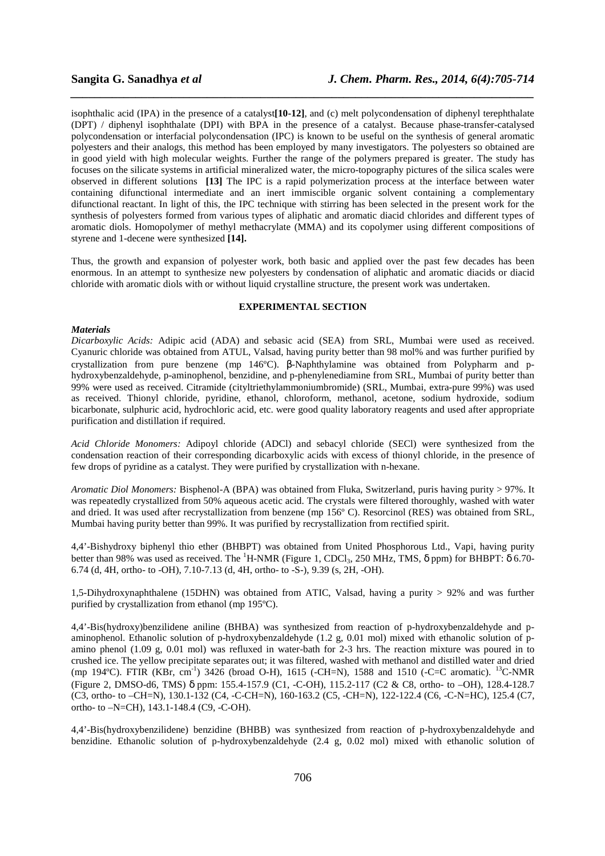isophthalic acid (IPA) in the presence of a catalyst**[10-12]**, and (c) melt polycondensation of diphenyl terephthalate (DPT) / diphenyl isophthalate (DPI) with BPA in the presence of a catalyst. Because phase-transfer-catalysed polycondensation or interfacial polycondensation (IPC) is known to be useful on the synthesis of general aromatic polyesters and their analogs, this method has been employed by many investigators. The polyesters so obtained are in good yield with high molecular weights. Further the range of the polymers prepared is greater. The study has focuses on the silicate systems in artificial mineralized water, the micro-topography pictures of the silica scales were observed in different solutions **[13]** The IPC is a rapid polymerization process at the interface between water containing difunctional intermediate and an inert immiscible organic solvent containing a complementary difunctional reactant. In light of this, the IPC technique with stirring has been selected in the present work for the synthesis of polyesters formed from various types of aliphatic and aromatic diacid chlorides and different types of aromatic diols. Homopolymer of methyl methacrylate (MMA) and its copolymer using different compositions of styrene and 1-decene were synthesized **[14].**

*\_\_\_\_\_\_\_\_\_\_\_\_\_\_\_\_\_\_\_\_\_\_\_\_\_\_\_\_\_\_\_\_\_\_\_\_\_\_\_\_\_\_\_\_\_\_\_\_\_\_\_\_\_\_\_\_\_\_\_\_\_\_\_\_\_\_\_\_\_\_\_\_\_\_\_\_\_\_*

Thus, the growth and expansion of polyester work, both basic and applied over the past few decades has been enormous. In an attempt to synthesize new polyesters by condensation of aliphatic and aromatic diacids or diacid chloride with aromatic diols with or without liquid crystalline structure, the present work was undertaken.

### **EXPERIMENTAL SECTION**

#### *Materials*

*Dicarboxylic Acids:* Adipic acid (ADA) and sebasic acid (SEA) from SRL, Mumbai were used as received. Cyanuric chloride was obtained from ATUL, Valsad, having purity better than 98 mol% and was further purified by crystallization from pure benzene (mp 146ºC). β-Naphthylamine was obtained from Polypharm and phydroxybenzaldehyde, p-aminophenol, benzidine, and p-phenylenediamine from SRL, Mumbai of purity better than 99% were used as received. Citramide (cityltriethylammoniumbromide) (SRL, Mumbai, extra-pure 99%) was used as received. Thionyl chloride, pyridine, ethanol, chloroform, methanol, acetone, sodium hydroxide, sodium bicarbonate, sulphuric acid, hydrochloric acid, etc. were good quality laboratory reagents and used after appropriate purification and distillation if required.

*Acid Chloride Monomers:* Adipoyl chloride (ADCl) and sebacyl chloride (SECl) were synthesized from the condensation reaction of their corresponding dicarboxylic acids with excess of thionyl chloride, in the presence of few drops of pyridine as a catalyst. They were purified by crystallization with n-hexane.

*Aromatic Diol Monomers:* Bisphenol-A (BPA) was obtained from Fluka, Switzerland, puris having purity > 97%. It was repeatedly crystallized from 50% aqueous acetic acid. The crystals were filtered thoroughly, washed with water and dried. It was used after recrystallization from benzene (mp 156º C). Resorcinol (RES) was obtained from SRL, Mumbai having purity better than 99%. It was purified by recrystallization from rectified spirit.

4,4'-Bishydroxy biphenyl thio ether (BHBPT) was obtained from United Phosphorous Ltd., Vapi, having purity better than 98% was used as received. The <sup>1</sup>H-NMR (Figure 1, CDCl<sub>3</sub>, 250 MHz, TMS,  $\delta$  ppm) for BHBPT:  $\delta$  6.70-6.74 (d, 4H, ortho- to -OH), 7.10-7.13 (d, 4H, ortho- to -S-), 9.39 (s, 2H, -OH).

1,5-Dihydroxynaphthalene (15DHN) was obtained from ATIC, Valsad, having a purity > 92% and was further purified by crystallization from ethanol (mp 195ºC).

4,4'-Bis(hydroxy)benzilidene aniline (BHBA) was synthesized from reaction of p-hydroxybenzaldehyde and paminophenol. Ethanolic solution of p-hydroxybenzaldehyde (1.2 g, 0.01 mol) mixed with ethanolic solution of pamino phenol (1.09 g, 0.01 mol) was refluxed in water-bath for 2-3 hrs. The reaction mixture was poured in to crushed ice. The yellow precipitate separates out; it was filtered, washed with methanol and distilled water and dried (mp 194°C). FTIR (KBr, cm<sup>-1</sup>) 3426 (broad O-H), 1615 (-CH=N), 1588 and 1510 (-C=C aromatic). <sup>13</sup>C-NMR (Figure 2, DMSO-d6, TMS) δ ppm: 155.4-157.9 (C1, -C-OH), 115.2-117 (C2 & C8, ortho- to –OH), 128.4-128.7 (C3, ortho- to –CH=N), 130.1-132 (C4, -C-CH=N), 160-163.2 (C5, -CH=N), 122-122.4 (C6, -C-N=HC), 125.4 (C7, ortho- to –N=CH), 143.1-148.4 (C9, -C-OH).

4,4'-Bis(hydroxybenzilidene) benzidine (BHBB) was synthesized from reaction of p-hydroxybenzaldehyde and benzidine. Ethanolic solution of p-hydroxybenzaldehyde (2.4 g, 0.02 mol) mixed with ethanolic solution of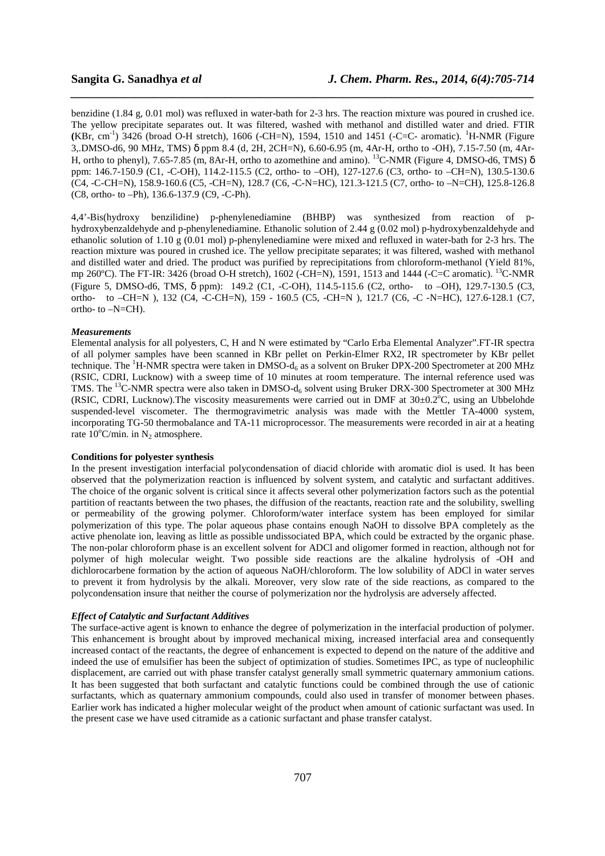benzidine (1.84 g, 0.01 mol) was refluxed in water-bath for 2-3 hrs. The reaction mixture was poured in crushed ice. The yellow precipitate separates out. It was filtered, washed with methanol and distilled water and dried. FTIR  $(KBr, cm^{-1})$  3426 (broad O-H stretch), 1606 (-CH=N), 1594, 1510 and 1451 (-C=C- aromatic). <sup>1</sup>H-NMR (Figure 3,.DMSO-d6, 90 MHz, TMS) δ ppm 8.4 (d, 2H, 2CH=N), 6.60-6.95 (m, 4Ar-H, ortho to -OH), 7.15-7.50 (m, 4Ar-H, ortho to phenyl), 7.65-7.85 (m, 8Ar-H, ortho to azomethine and amino). <sup>13</sup>C-NMR (Figure 4, DMSO-d6, TMS) δ ppm: 146.7-150.9 (C1, -C-OH), 114.2-115.5 (C2, ortho- to –OH), 127-127.6 (C3, ortho- to –CH=N), 130.5-130.6 (C4, -C-CH=N), 158.9-160.6 (C5, -CH=N), 128.7 (C6, -C-N=HC), 121.3-121.5 (C7, ortho- to –N=CH), 125.8-126.8 (C8, ortho- to –Ph), 136.6-137.9 (C9, -C-Ph).

*\_\_\_\_\_\_\_\_\_\_\_\_\_\_\_\_\_\_\_\_\_\_\_\_\_\_\_\_\_\_\_\_\_\_\_\_\_\_\_\_\_\_\_\_\_\_\_\_\_\_\_\_\_\_\_\_\_\_\_\_\_\_\_\_\_\_\_\_\_\_\_\_\_\_\_\_\_\_*

4,4'-Bis(hydroxy benzilidine) p-phenylenediamine (BHBP) was synthesized from reaction of phydroxybenzaldehyde and p-phenylenediamine. Ethanolic solution of 2.44 g (0.02 mol) p-hydroxybenzaldehyde and ethanolic solution of 1.10 g (0.01 mol) p-phenylenediamine were mixed and refluxed in water-bath for 2-3 hrs. The reaction mixture was poured in crushed ice. The yellow precipitate separates; it was filtered, washed with methanol and distilled water and dried. The product was purified by reprecipitations from chloroform-methanol (Yield 81%, mp 260°C). The FT-IR: 3426 (broad O-H stretch), 1602 (-CH=N), 1591, 1513 and 1444 (-C=C aromatic). <sup>13</sup>C-NMR (Figure 5, DMSO-d6, TMS, δ ppm): 149.2 (C1, -C-OH), 114.5-115.6 (C2, ortho- to –OH), 129.7-130.5 (C3, ortho- to –CH=N ), 132 (C4, -C-CH=N), 159 - 160.5 (C5, -CH=N ), 121.7 (C6, -C -N=HC), 127.6-128.1 (C7, ortho- to –N=CH).

### *Measurements*

Elemental analysis for all polyesters, C, H and N were estimated by "Carlo Erba Elemental Analyzer".FT-IR spectra of all polymer samples have been scanned in KBr pellet on Perkin-Elmer RX2, IR spectrometer by KBr pellet technique. The <sup>1</sup>H-NMR spectra were taken in DMSO- $d_6$  as a solvent on Bruker DPX-200 Spectrometer at 200 MHz (RSIC, CDRI, Lucknow) with a sweep time of 10 minutes at room temperature. The internal reference used was TMS. The <sup>13</sup>C-NMR spectra were also taken in DMSO-d<sub>6</sub> solvent using Bruker DRX-300 Spectrometer at 300 MHz (RSIC, CDRI, Lucknow). The viscosity measurements were carried out in DMF at  $30\pm0.2^{\circ}$ C, using an Ubbelohde suspended-level viscometer. The thermogravimetric analysis was made with the Mettler TA-4000 system, incorporating TG-50 thermobalance and TA-11 microprocessor. The measurements were recorded in air at a heating rate  $10^{\circ}$ C/min. in N<sub>2</sub> atmosphere.

#### **Conditions for polyester synthesis**

In the present investigation interfacial polycondensation of diacid chloride with aromatic diol is used. It has been observed that the polymerization reaction is influenced by solvent system, and catalytic and surfactant additives. The choice of the organic solvent is critical since it affects several other polymerization factors such as the potential partition of reactants between the two phases, the diffusion of the reactants, reaction rate and the solubility, swelling or permeability of the growing polymer. Chloroform/water interface system has been employed for similar polymerization of this type. The polar aqueous phase contains enough NaOH to dissolve BPA completely as the active phenolate ion, leaving as little as possible undissociated BPA, which could be extracted by the organic phase. The non-polar chloroform phase is an excellent solvent for ADCl and oligomer formed in reaction, although not for polymer of high molecular weight. Two possible side reactions are the alkaline hydrolysis of -OH and dichlorocarbene formation by the action of aqueous NaOH/chloroform. The low solubility of ADCl in water serves to prevent it from hydrolysis by the alkali. Moreover, very slow rate of the side reactions, as compared to the polycondensation insure that neither the course of polymerization nor the hydrolysis are adversely affected.

## *Effect of Catalytic and Surfactant Additives*

The surface-active agent is known to enhance the degree of polymerization in the interfacial production of polymer. This enhancement is brought about by improved mechanical mixing, increased interfacial area and consequently increased contact of the reactants, the degree of enhancement is expected to depend on the nature of the additive and indeed the use of emulsifier has been the subject of optimization of studies. Sometimes IPC, as type of nucleophilic displacement, are carried out with phase transfer catalyst generally small symmetric quaternary ammonium cations. It has been suggested that both surfactant and catalytic functions could be combined through the use of cationic surfactants, which as quaternary ammonium compounds, could also used in transfer of monomer between phases. Earlier work has indicated a higher molecular weight of the product when amount of cationic surfactant was used. In the present case we have used citramide as a cationic surfactant and phase transfer catalyst.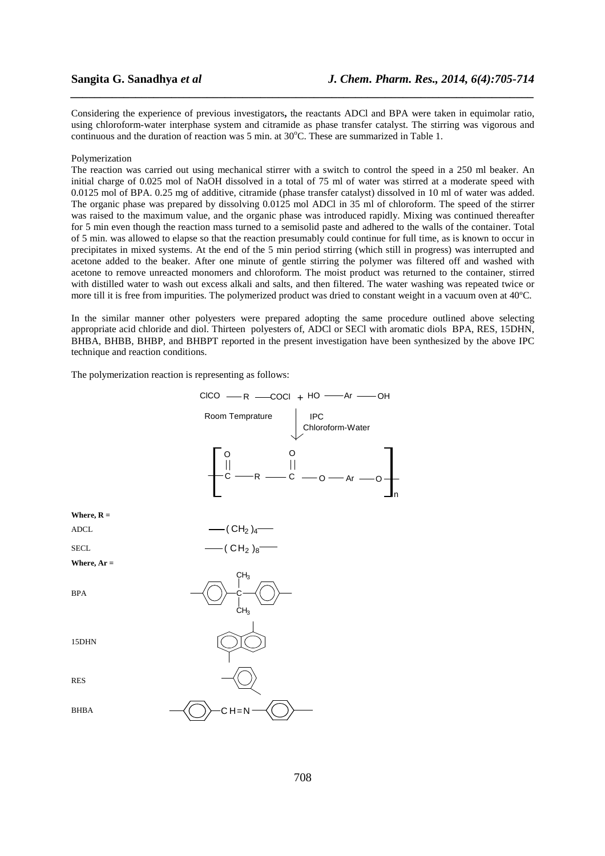Considering the experience of previous investigators**,** the reactants ADCl and BPA were taken in equimolar ratio, using chloroform-water interphase system and citramide as phase transfer catalyst. The stirring was vigorous and continuous and the duration of reaction was 5 min. at  $30^{\circ}$ C. These are summarized in Table 1.

*\_\_\_\_\_\_\_\_\_\_\_\_\_\_\_\_\_\_\_\_\_\_\_\_\_\_\_\_\_\_\_\_\_\_\_\_\_\_\_\_\_\_\_\_\_\_\_\_\_\_\_\_\_\_\_\_\_\_\_\_\_\_\_\_\_\_\_\_\_\_\_\_\_\_\_\_\_\_*

#### Polymerization

The reaction was carried out using mechanical stirrer with a switch to control the speed in a 250 ml beaker. An initial charge of 0.025 mol of NaOH dissolved in a total of 75 ml of water was stirred at a moderate speed with 0.0125 mol of BPA. 0.25 mg of additive, citramide (phase transfer catalyst) dissolved in 10 ml of water was added. The organic phase was prepared by dissolving 0.0125 mol ADCl in 35 ml of chloroform. The speed of the stirrer was raised to the maximum value, and the organic phase was introduced rapidly. Mixing was continued thereafter for 5 min even though the reaction mass turned to a semisolid paste and adhered to the walls of the container. Total of 5 min. was allowed to elapse so that the reaction presumably could continue for full time, as is known to occur in precipitates in mixed systems. At the end of the 5 min period stirring (which still in progress) was interrupted and acetone added to the beaker. After one minute of gentle stirring the polymer was filtered off and washed with acetone to remove unreacted monomers and chloroform. The moist product was returned to the container, stirred with distilled water to wash out excess alkali and salts, and then filtered. The water washing was repeated twice or more till it is free from impurities. The polymerized product was dried to constant weight in a vacuum oven at 40ºC.

In the similar manner other polyesters were prepared adopting the same procedure outlined above selecting appropriate acid chloride and diol. Thirteen polyesters of, ADCl or SECl with aromatic diols BPA, RES, 15DHN, BHBA, BHBB, BHBP, and BHBPT reported in the present investigation have been synthesized by the above IPC technique and reaction conditions.

The polymerization reaction is representing as follows:

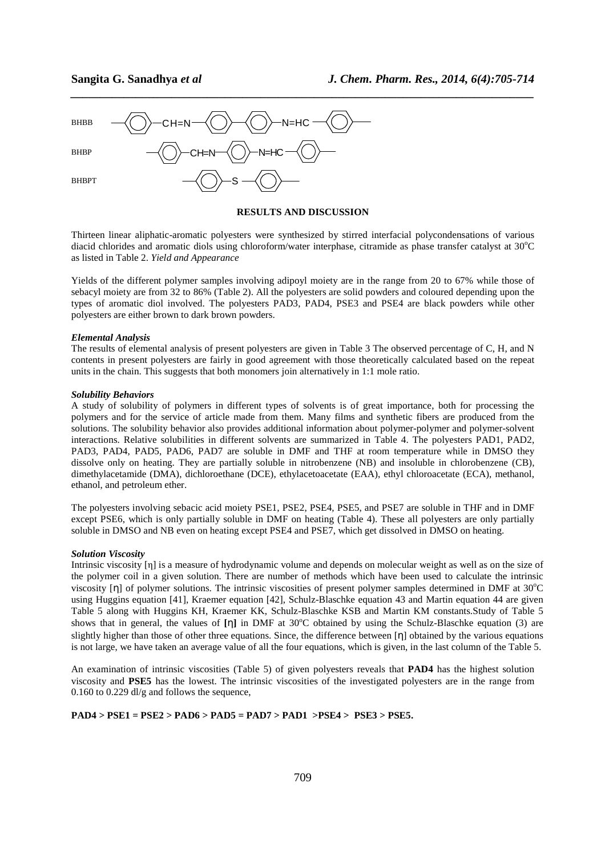

#### **RESULTS AND DISCUSSION**

*\_\_\_\_\_\_\_\_\_\_\_\_\_\_\_\_\_\_\_\_\_\_\_\_\_\_\_\_\_\_\_\_\_\_\_\_\_\_\_\_\_\_\_\_\_\_\_\_\_\_\_\_\_\_\_\_\_\_\_\_\_\_\_\_\_\_\_\_\_\_\_\_\_\_\_\_\_\_*

Thirteen linear aliphatic-aromatic polyesters were synthesized by stirred interfacial polycondensations of various diacid chlorides and aromatic diols using chloroform/water interphase, citramide as phase transfer catalyst at  $30^{\circ}$ C as listed in Table 2. *Yield and Appearance* 

Yields of the different polymer samples involving adipoyl moiety are in the range from 20 to 67% while those of sebacyl moiety are from 32 to 86% (Table 2). All the polyesters are solid powders and coloured depending upon the types of aromatic diol involved. The polyesters PAD3, PAD4, PSE3 and PSE4 are black powders while other polyesters are either brown to dark brown powders.

### *Elemental Analysis*

The results of elemental analysis of present polyesters are given in Table 3 The observed percentage of C, H, and N contents in present polyesters are fairly in good agreement with those theoretically calculated based on the repeat units in the chain. This suggests that both monomers join alternatively in 1:1 mole ratio.

## *Solubility Behaviors*

A study of solubility of polymers in different types of solvents is of great importance, both for processing the polymers and for the service of article made from them. Many films and synthetic fibers are produced from the solutions. The solubility behavior also provides additional information about polymer-polymer and polymer-solvent interactions. Relative solubilities in different solvents are summarized in Table 4. The polyesters PAD1, PAD2, PAD3, PAD4, PAD5, PAD6, PAD7 are soluble in DMF and THF at room temperature while in DMSO they dissolve only on heating. They are partially soluble in nitrobenzene (NB) and insoluble in chlorobenzene (CB), dimethylacetamide (DMA), dichloroethane (DCE), ethylacetoacetate (EAA), ethyl chloroacetate (ECA), methanol, ethanol, and petroleum ether.

The polyesters involving sebacic acid moiety PSE1, PSE2, PSE4, PSE5, and PSE7 are soluble in THF and in DMF except PSE6, which is only partially soluble in DMF on heating (Table 4). These all polyesters are only partially soluble in DMSO and NB even on heating except PSE4 and PSE7, which get dissolved in DMSO on heating.

#### *Solution Viscosity*

Intrinsic viscosity [η] is a measure of hydrodynamic volume and depends on molecular weight as well as on the size of the polymer coil in a given solution. There are number of methods which have been used to calculate the intrinsic viscosity [η] of polymer solutions. The intrinsic viscosities of present polymer samples determined in DMF at  $30^{\circ}$ C using Huggins equation [41], Kraemer equation [42], Schulz-Blaschke equation 43 and Martin equation 44 are given Table 5 along with Huggins KH, Kraemer KK, Schulz-Blaschke KSB and Martin KM constants.Study of Table 5 shows that in general, the values of [η] in DMF at 30°C obtained by using the Schulz-Blaschke equation (3) are slightly higher than those of other three equations. Since, the difference between  $[\eta]$  obtained by the various equations is not large, we have taken an average value of all the four equations, which is given, in the last column of the Table 5.

An examination of intrinsic viscosities (Table 5) of given polyesters reveals that **PAD4** has the highest solution viscosity and **PSE5** has the lowest. The intrinsic viscosities of the investigated polyesters are in the range from 0.160 to 0.229 dl/g and follows the sequence,

### **PAD4 > PSE1 = PSE2 > PAD6 > PAD5 = PAD7 > PAD1 >PSE4 > PSE3 > PSE5.**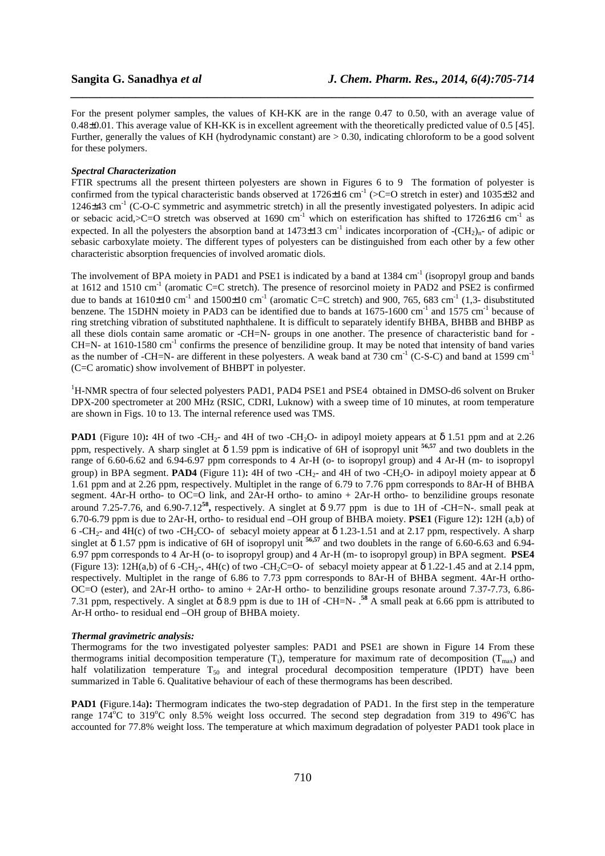For the present polymer samples, the values of KH-KK are in the range 0.47 to 0.50, with an average value of 0.48±0.01. This average value of KH-KK is in excellent agreement with the theoretically predicted value of 0.5 [45]. Further, generally the values of KH (hydrodynamic constant) are > 0.30, indicating chloroform to be a good solvent for these polymers.

*\_\_\_\_\_\_\_\_\_\_\_\_\_\_\_\_\_\_\_\_\_\_\_\_\_\_\_\_\_\_\_\_\_\_\_\_\_\_\_\_\_\_\_\_\_\_\_\_\_\_\_\_\_\_\_\_\_\_\_\_\_\_\_\_\_\_\_\_\_\_\_\_\_\_\_\_\_\_*

### *Spectral Characterization*

FTIR spectrums all the present thirteen polyesters are shown in Figures 6 to 9 The formation of polyester is confirmed from the typical characteristic bands observed at  $1726\pm16$  cm<sup>-1</sup> (>C=O stretch in ester) and 1035 $\pm$ 32 and 1246±43 cm-1 (C-O-C symmetric and asymmetric stretch) in all the presently investigated polyesters. In adipic acid or sebacic acid,>C=O stretch was observed at 1690 cm<sup>-1</sup> which on esterification has shifted to 1726 $\pm$ 16 cm<sup>-1</sup> as expected. In all the polyesters the absorption band at  $1473\pm13$  cm<sup>-1</sup> indicates incorporation of  $-(CH<sub>2</sub>)<sub>n</sub>$ - of adipic or sebasic carboxylate moiety. The different types of polyesters can be distinguished from each other by a few other characteristic absorption frequencies of involved aromatic diols.

The involvement of BPA moiety in PAD1 and PSE1 is indicated by a band at 1384 cm<sup>-1</sup> (isopropyl group and bands at  $1612$  and  $1510 \text{ cm}^{-1}$  (aromatic C=C stretch). The presence of resorcinol moiety in PAD2 and PSE2 is confirmed due to bands at  $1610\pm10$  cm<sup>-1</sup> and  $1500\pm10$  cm<sup>-1</sup> (aromatic C=C stretch) and 900, 765, 683 cm<sup>-1</sup> (1,3- disubstituted benzene. The 15DHN moiety in PAD3 can be identified due to bands at 1675-1600 cm<sup>-1</sup> and 1575 cm<sup>-1</sup> because of ring stretching vibration of substituted naphthalene. It is difficult to separately identify BHBA, BHBB and BHBP as all these diols contain same aromatic or -CH=N- groups in one another. The presence of characteristic band for -  $CH=N-$  at 1610-1580 cm<sup>-1</sup> confirms the presence of benzilidine group. It may be noted that intensity of band varies as the number of -CH=N- are different in these polyesters. A weak band at 730 cm<sup>-1</sup> (C-S-C) and band at 1599 cm<sup>-1</sup> (C=C aromatic) show involvement of BHBPT in polyester.

<sup>1</sup>H-NMR spectra of four selected polyesters PAD1, PAD4 PSE1 and PSE4 obtained in DMSO-d6 solvent on Bruker DPX-200 spectrometer at 200 MHz (RSIC, CDRI, Luknow) with a sweep time of 10 minutes, at room temperature are shown in Figs. 10 to 13. The internal reference used was TMS.

**PAD1** (Figure 10): 4H of two -CH<sub>2</sub>- and 4H of two -CH<sub>2</sub>O- in adipoyl moiety appears at  $\delta$  1.51 ppm and at 2.26 ppm, respectively. A sharp singlet at δ 1.59 ppm is indicative of 6H of isopropyl unit **56,57** and two doublets in the range of 6.60-6.62 and 6.94-6.97 ppm corresponds to 4 Ar-H (o- to isopropyl group) and 4 Ar-H (m- to isopropyl group) in BPA segment. **PAD4** (Figure 11): 4H of two -CH<sub>2</sub>- and 4H of two -CH<sub>2</sub>O- in adipoyl moiety appear at  $\delta$ 1.61 ppm and at 2.26 ppm, respectively. Multiplet in the range of 6.79 to 7.76 ppm corresponds to 8Ar-H of BHBA segment. 4Ar-H ortho- to OC=O link, and 2Ar-H ortho- to amino + 2Ar-H ortho- to benzilidine groups resonate around 7.25-7.76, and 6.90-7.12<sup>58</sup>, respectively. A singlet at  $\delta$  9.77 ppm is due to 1H of -CH=N-. small peak at 6.70-6.79 ppm is due to 2Ar-H, ortho- to residual end –OH group of BHBA moiety. **PSE1** (Figure 12)**:** 12H (a,b) of 6 -CH<sub>2</sub>- and 4H(c) of two -CH<sub>2</sub>CO- of sebacyl moiety appear at  $\delta$  1.23-1.51 and at 2.17 ppm, respectively. A sharp singlet at δ 1.57 ppm is indicative of 6H of isopropyl unit **56,57** and two doublets in the range of 6.60-6.63 and 6.94- 6.97 ppm corresponds to 4 Ar-H (o- to isopropyl group) and 4 Ar-H (m- to isopropyl group) in BPA segment. **PSE4**  (Figure 13):  $12H(a,b)$  of 6 -CH<sub>2</sub>-,  $4H(c)$  of two -CH<sub>2</sub>C=O- of sebacyl moiety appear at  $\delta$  1.22-1.45 and at 2.14 ppm, respectively. Multiplet in the range of 6.86 to 7.73 ppm corresponds to 8Ar-H of BHBA segment. 4Ar-H ortho-OC=O (ester), and 2Ar-H ortho- to amino + 2Ar-H ortho- to benzilidine groups resonate around 7.37-7.73, 6.86- 7.31 ppm, respectively. A singlet at δ 8.9 ppm is due to 1H of -CH=N- .**<sup>58</sup>** A small peak at 6.66 ppm is attributed to Ar-H ortho- to residual end –OH group of BHBA moiety.

#### *Thermal gravimetric analysis:*

Thermograms for the two investigated polyester samples: PAD1 and PSE1 are shown in Figure 14 From these thermograms initial decomposition temperature  $(T_i)$ , temperature for maximum rate of decomposition  $(T_{\text{max}})$  and half volatilization temperature  $T_{50}$  and integral procedural decomposition temperature (IPDT) have been summarized in Table 6. Qualitative behaviour of each of these thermograms has been described.

**PAD1** (Figure.14a): Thermogram indicates the two-step degradation of PAD1. In the first step in the temperature range  $174^{\circ}$ C to  $319^{\circ}$ C only 8.5% weight loss occurred. The second step degradation from 319 to  $496^{\circ}$ C has accounted for 77.8% weight loss. The temperature at which maximum degradation of polyester PAD1 took place in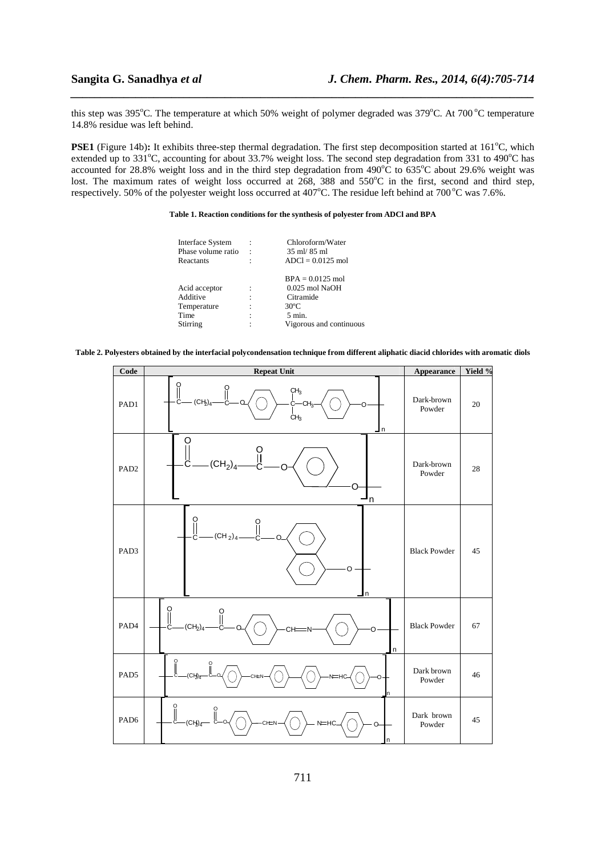this step was 395°C. The temperature at which 50% weight of polymer degraded was 379°C. At 700 °C temperature 14.8% residue was left behind.

*\_\_\_\_\_\_\_\_\_\_\_\_\_\_\_\_\_\_\_\_\_\_\_\_\_\_\_\_\_\_\_\_\_\_\_\_\_\_\_\_\_\_\_\_\_\_\_\_\_\_\_\_\_\_\_\_\_\_\_\_\_\_\_\_\_\_\_\_\_\_\_\_\_\_\_\_\_\_*

**PSE1** (Figure 14b): It exhibits three-step thermal degradation. The first step decomposition started at 161<sup>o</sup>C, which extended up to  $331^{\circ}$ C, accounting for about 33.7% weight loss. The second step degradation from 331 to 490 $^{\circ}$ C has accounted for 28.8% weight loss and in the third step degradation from  $490^{\circ}$ C to  $635^{\circ}$ C about 29.6% weight was lost. The maximum rates of weight loss occurred at 268, 388 and 550°C in the first, second and third step, respectively. 50% of the polyester weight loss occurred at 407°C. The residue left behind at 700°C was 7.6%.

#### **Table 1. Reaction conditions for the synthesis of polyester from ADCl and BPA**

| Interface System   |   | Chloroform/Water                |
|--------------------|---|---------------------------------|
| Phase volume ratio |   | $35 \text{ ml}$ $85 \text{ ml}$ |
| Reactants          | ۰ | $ADCl = 0.0125$ mol             |
|                    |   | $BPA = 0.0125$ mol              |
| Acid acceptor      |   | $0.025$ mol NaOH                |
| Additive           |   | Citramide                       |
| Temperature        |   | $30^{\circ}$ C                  |
| Time               |   | $5 \text{ min}$ .               |
| Stirring           |   | Vigorous and continuous         |

**Table 2. Polyesters obtained by the interfacial polycondensation technique from different aliphatic diacid chlorides with aromatic diols** 

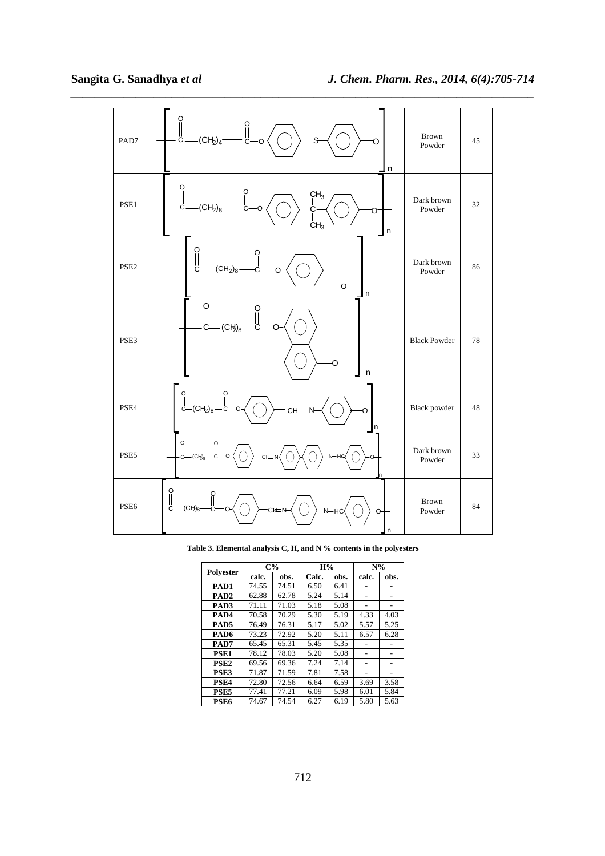

**Table 3. Elemental analysis C, H, and N % contents in the polyesters** 

| Polvester        |       | $C\%$ | H%    |      | $N\%$ |      |  |
|------------------|-------|-------|-------|------|-------|------|--|
|                  | calc. | obs.  | Calc. | obs. | calc. | obs. |  |
| PAD1             | 74.55 | 74.51 | 6.50  | 6.41 |       |      |  |
| PAD <sub>2</sub> | 62.88 | 62.78 | 5.24  | 5.14 |       |      |  |
| PAD <sub>3</sub> | 71.11 | 71.03 | 5.18  | 5.08 |       |      |  |
| PAD4             | 70.58 | 70.29 | 5.30  | 5.19 | 4.33  | 4.03 |  |
| PAD5             | 76.49 | 76.31 | 5.17  | 5.02 | 5.57  | 5.25 |  |
| PAD6             | 73.23 | 72.92 | 5.20  | 5.11 | 6.57  | 6.28 |  |
| PAD7             | 65.45 | 65.31 | 5.45  | 5.35 |       |      |  |
| PSE <sub>1</sub> | 78.12 | 78.03 | 5.20  | 5.08 |       |      |  |
| PSE <sub>2</sub> | 69.56 | 69.36 | 7.24  | 7.14 |       |      |  |
| PSE3             | 71.87 | 71.59 | 7.81  | 7.58 |       |      |  |
| PSE <sub>4</sub> | 72.80 | 72.56 | 6.64  | 6.59 | 3.69  | 3.58 |  |
| PSE <sub>5</sub> | 77.41 | 77.21 | 6.09  | 5.98 | 6.01  | 5.84 |  |
| PSE <sub>6</sub> | 74.67 | 74.54 | 6.27  | 6.19 | 5.80  | 5.63 |  |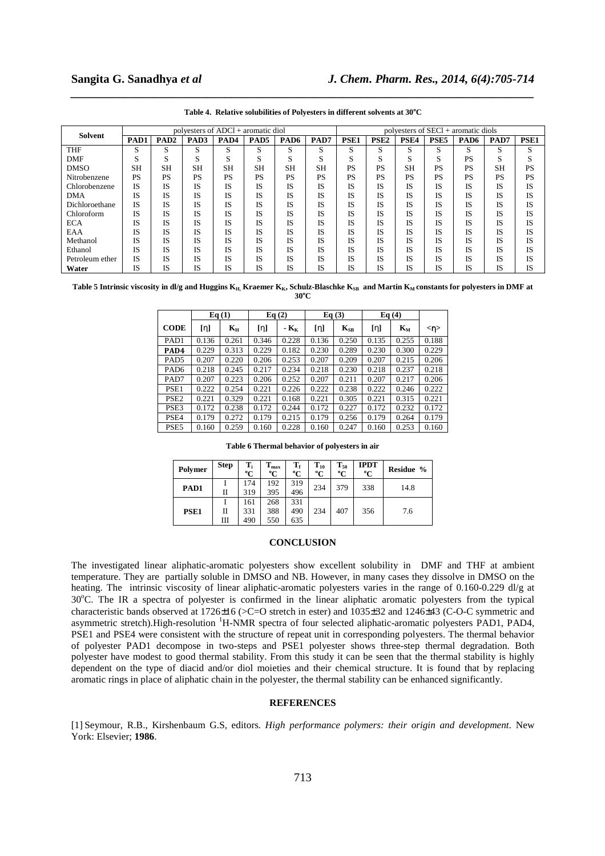| Table 4. Relative solubilities of Polyesters in different solvents at 30°C |
|----------------------------------------------------------------------------|

| Solvent         | polyesters of $ADCl +$ aromatic diol |                  |           |                  |                  |                  |           |                  | polyesters of $SECl +$ aromatic diols |                  |                  |                  |           |             |  |
|-----------------|--------------------------------------|------------------|-----------|------------------|------------------|------------------|-----------|------------------|---------------------------------------|------------------|------------------|------------------|-----------|-------------|--|
|                 | PAD1                                 | PAD <sub>2</sub> | PAD3      | PAD <sub>4</sub> | PAD <sub>5</sub> | PAD <sub>6</sub> | PAD7      | PSE <sub>1</sub> | PSE <sub>2</sub>                      | PSE <sub>4</sub> | PSE <sub>5</sub> | PAD <sub>6</sub> | PAD7      | <b>PSE1</b> |  |
| <b>THF</b>      | S                                    | S                | S         | S                | S                | S                | S         | S                | S                                     | S                | S                | S                | S         | S           |  |
| DMF             | S                                    | S                | S         | $\sim$<br>э.     | S                | S                | S         | S                | S                                     | $\sim$<br>S      | S                | PS               | S         | S           |  |
| <b>DMSO</b>     | <b>SH</b>                            | SΗ               | <b>SH</b> | <b>SH</b>        | <b>SH</b>        | <b>SH</b>        | <b>SH</b> | <b>PS</b>        | PS                                    | <b>SH</b>        | <b>PS</b>        | PS               | <b>SH</b> | PS          |  |
| Nitrobenzene    | <b>PS</b>                            | PS               | <b>PS</b> | PS               | <b>PS</b>        | <b>PS</b>        | PS        | <b>PS</b>        | <b>PS</b>                             | <b>PS</b>        | <b>PS</b>        | PS               | PS        | <b>PS</b>   |  |
| Chlorobenzene   | <b>IS</b>                            | IS               | IS        | <b>IS</b>        | <b>IS</b>        | IS               | IS        | IS               | <b>IS</b>                             | <b>IS</b>        | IS               | IS               | IS        | <b>IS</b>   |  |
| <b>DMA</b>      | <b>IS</b>                            | IS               | IS        | <b>IS</b>        | IS               | IS               | IS        | IS               | IS                                    | IS               | IS               | IS               | <b>IS</b> | IS          |  |
| Dichloroethane  | <b>IS</b>                            | IS               | IS        | <b>IS</b>        | <b>IS</b>        | <b>IS</b>        | IS        | IS               | <b>IS</b>                             | <b>IS</b>        | IS               | IS               | <b>IS</b> | <b>IS</b>   |  |
| Chloroform      | IS                                   | IS               | IS        | IS               | IS               | <b>IS</b>        | IS        | IS               | IS                                    | IS               | IS               | IS               | IS        | IS          |  |
| <b>ECA</b>      | IS                                   | IS               | IS        | <b>IS</b>        | IS               | <b>IS</b>        | IS        | IS               | IS                                    | <b>IS</b>        | IS               | IS               | <b>IS</b> | <b>IS</b>   |  |
| EAA             | IS                                   | IS               | IS        | IS               | <b>IS</b>        | <b>IS</b>        | IS        | IS               | IS                                    | <b>IS</b>        | IS               | IS               | IS        | IS          |  |
| Methanol        | IS                                   | IS               | IS        | <b>IS</b>        | <b>IS</b>        | <b>IS</b>        | IS        | IS               | IS                                    | <b>IS</b>        | IS               | IS               | <b>IS</b> | IS          |  |
| Ethanol         | <b>IS</b>                            | IS               | IS        | IS               | <b>IS</b>        | <b>IS</b>        | IS        | IS               | IS                                    | IS               | IS               | IS               | <b>IS</b> | <b>IS</b>   |  |
| Petroleum ether | <b>IS</b>                            | IS               | IS        | IS               | <b>IS</b>        | <b>IS</b>        | IS        | IS               | IS                                    | <b>IS</b>        | IS               | <b>IS</b>        | <b>IS</b> | IS          |  |
| Water           | IS                                   | IS               | IS        | <b>IS</b>        | IS               | <b>IS</b>        | IS        | IS               | IS                                    | IS               | IS               | Б                | <b>IS</b> | IS          |  |

Table 5 Intrinsic viscosity in dl/g and Huggins K<sub>H,</sub> Kraemer K<sub>K</sub>, Schulz-Blaschke K<sub>SB</sub> and Martin K<sub>M</sub> constants for polyesters in DMF at **30<sup>o</sup>C** 

|                  | Eq(1) |       | Eq(2) |        | Eq(3) |          | Eq(4) |       |         |
|------------------|-------|-------|-------|--------|-------|----------|-------|-------|---------|
| <b>CODE</b>      | [n]   | $K_H$ | [n]   | $ K_K$ | [n]   | $K_{SB}$ | [n]   | $K_M$ | $<\eta$ |
| PAD <sub>1</sub> | 0.136 | 0.261 | 0.346 | 0.228  | 0.136 | 0.250    | 0.135 | 0.255 | 0.188   |
| PAD4             | 0.229 | 0.313 | 0.229 | 0.182  | 0.230 | 0.289    | 0.230 | 0.300 | 0.229   |
| PAD <sub>5</sub> | 0.207 | 0.220 | 0.206 | 0.253  | 0.207 | 0.209    | 0.207 | 0.215 | 0.206   |
| PAD <sub>6</sub> | 0.218 | 0.245 | 0.217 | 0.234  | 0.218 | 0.230    | 0.218 | 0.237 | 0.218   |
| PAD7             | 0.207 | 0.223 | 0.206 | 0.252  | 0.207 | 0.211    | 0.207 | 0.217 | 0.206   |
| PSE <sub>1</sub> | 0.222 | 0.254 | 0.221 | 0.226  | 0.222 | 0.238    | 0.222 | 0.246 | 0.222   |
| PSE <sub>2</sub> | 0.221 | 0.329 | 0.221 | 0.168  | 0.221 | 0.305    | 0.221 | 0.315 | 0.221   |
| PSE3             | 0.172 | 0.238 | 0.172 | 0.244  | 0.172 | 0.227    | 0.172 | 0.232 | 0.172   |
| PSE <sub>4</sub> | 0.179 | 0.272 | 0.179 | 0.215  | 0.179 | 0.256    | 0.179 | 0.264 | 0.179   |
| PSE <sub>5</sub> | 0.160 | 0.259 | 0.160 | 0.228  | 0.160 | 0.247    | 0.160 | 0.253 | 0.160   |

**Table 6 Thermal behavior of polyesters in air** 

| Polymer          | <b>Step</b> | $T_i$<br>$\rm ^{o}C$ | $T_{\rm max}$<br>$\rm ^{o}C$ | $\mathbf{T_f}$<br>$\rm ^{o}C$ | $T_{10}$<br>$\rm ^{o}C$ | $T_{50}$<br>$\rm ^{o}C$ | <b>IPDT</b><br>$\rm ^{o}C$ | Residue % |
|------------------|-------------|----------------------|------------------------------|-------------------------------|-------------------------|-------------------------|----------------------------|-----------|
| PAD1             | П           | 174<br>319           | 192<br>395                   | 319<br>496                    | 234                     | 379                     | 338                        | 14.8      |
| PSE <sub>1</sub> | П<br>Ш      | 161<br>331<br>490    | 268<br>388<br>550            | 331<br>490<br>635             | 234                     | 407                     | 356                        | 7.6       |

# **CONCLUSION**

The investigated linear aliphatic-aromatic polyesters show excellent solubility in DMF and THF at ambient temperature. They are partially soluble in DMSO and NB. However, in many cases they dissolve in DMSO on the heating. The intrinsic viscosity of linear aliphatic-aromatic polyesters varies in the range of 0.160-0.229 dl/g at 30°C. The IR a spectra of polyester is confirmed in the linear aliphatic aromatic polyesters from the typical characteristic bands observed at 1726±16 (>C=O stretch in ester) and 1035±32 and 1246±43 (C-O-C symmetric and asymmetric stretch).High-resolution <sup>1</sup>H-NMR spectra of four selected aliphatic-aromatic polyesters PAD1, PAD4, PSE1 and PSE4 were consistent with the structure of repeat unit in corresponding polyesters. The thermal behavior of polyester PAD1 decompose in two-steps and PSE1 polyester shows three-step thermal degradation. Both polyester have modest to good thermal stability. From this study it can be seen that the thermal stability is highly dependent on the type of diacid and/or diol moieties and their chemical structure. It is found that by replacing aromatic rings in place of aliphatic chain in the polyester, the thermal stability can be enhanced significantly.

### **REFERENCES**

[1] Seymour, R.B., Kirshenbaum G.S, editors. *High performance polymers: their origin and development.* New York: Elsevier; **1986**.